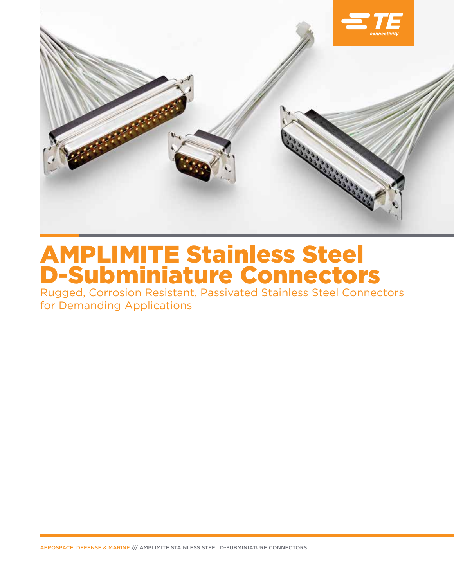

# AMPLIMITE Stainless Steel D-Subminiature Connectors

Rugged, Corrosion Resistant, Passivated Stainless Steel Connectors for Demanding Applications

AEROSPACE, DEFENSE & MARINE /// AMPLIMITE STAINLESS STEEL D-SUBMINIATURE CONNECTORS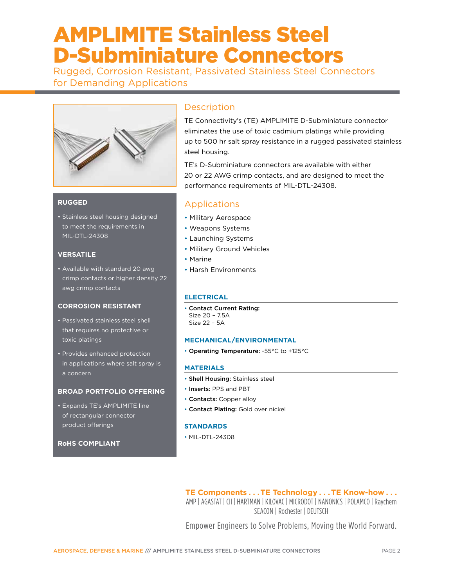## AMPLIMITE Stainless Steel D-Subminiature Connectors

Rugged, Corrosion Resistant, Passivated Stainless Steel Connectors for Demanding Applications



## **RUGGED**

• Stainless steel housing designed to meet the requirements in MIL-DTL-24308

## **VERSATILE**

• Available with standard 20 awg crimp contacts or higher density 22 awg crimp contacts

## **CORROSION RESISTANT**

- Passivated stainless steel shell that requires no protective or toxic platings
- Provides enhanced protection in applications where salt spray is a concern

## **BROAD PORTFOLIO OFFERING**

• Expands TE's AMPLIMITE line of rectangular connector product offerings

## **RoHS COMPLIANT**

## **Description**

TE Connectivity's (TE) AMPLIMITE D-Subminiature connector eliminates the use of toxic cadmium platings while providing up to 500 hr salt spray resistance in a rugged passivated stainless steel housing.

TE's D-Subminiature connectors are available with either 20 or 22 AWG crimp contacts, and are designed to meet the performance requirements of MIL-DTL-24308.

## Applications

- Military Aerospace
- Weapons Systems
- Launching Systems
- Military Ground Vehicles
- Marine
- Harsh Environments

## **ELECTRICAL**

• Contact Current Rating: Size 20 – 7.5A Size 22 – 5A

## **MECHANICAL/ENVIRONMENTAL**

• Operating Temperature: -55°C to +125°C

## **MATERIALS**

- Shell Housing: Stainless steel
- Inserts: PPS and PBT
- Contacts: Copper alloy
- Contact Plating: Gold over nickel

## **STANDARDS**

• MIL-DTL-24308

**TE Components . . . TE Technology . . . TE Know-how . . .** AMP | AGASTAT | CII | HARTMAN | KILOVAC | MICRODOT | NANONICS | POLAMCO | Raychem SEACON | Rochester | DEUTSCH

Empower Engineers to Solve Problems, Moving the World Forward.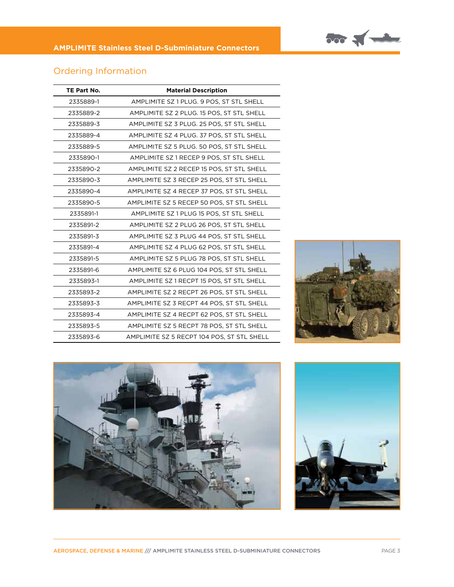

| TE Part No. | <b>Material Description</b>                |  |  |
|-------------|--------------------------------------------|--|--|
| 2335889-1   | AMPLIMITE SZ 1 PLUG. 9 POS, ST STL SHELL   |  |  |
| 2335889-2   | AMPLIMITE SZ 2 PLUG. 15 POS, ST STL SHELL  |  |  |
| 2335889-3   | AMPLIMITE SZ 3 PLUG. 25 POS, ST STL SHELL  |  |  |
| 2335889-4   | AMPLIMITE SZ 4 PLUG. 37 POS, ST STL SHELL  |  |  |
| 2335889-5   | AMPLIMITE SZ 5 PLUG. 50 POS, ST STL SHELL  |  |  |
| 2335890-1   | AMPLIMITE SZ 1 RECEP 9 POS, ST STL SHELL   |  |  |
| 2335890-2   | AMPLIMITE SZ 2 RECEP 15 POS, ST STL SHELL  |  |  |
| 2335890-3   | AMPLIMITE SZ 3 RECEP 25 POS, ST STL SHELL  |  |  |
| 2335890-4   | AMPLIMITE SZ 4 RECEP 37 POS, ST STL SHELL  |  |  |
| 2335890-5   | AMPLIMITE SZ 5 RECEP 50 POS, ST STL SHELL  |  |  |
| 2335891-1   | AMPLIMITE SZ 1 PLUG 15 POS, ST STL SHELL   |  |  |
| 2335891-2   | AMPLIMITE SZ 2 PLUG 26 POS, ST STL SHELL   |  |  |
| 2335891-3   | AMPLIMITE SZ 3 PLUG 44 POS, ST STL SHELL   |  |  |
| 2335891-4   | AMPLIMITE SZ 4 PLUG 62 POS, ST STL SHELL   |  |  |
| 2335891-5   | AMPLIMITE SZ 5 PLUG 78 POS, ST STL SHELL   |  |  |
| 2335891-6   | AMPLIMITE SZ 6 PLUG 104 POS, ST STL SHELL  |  |  |
| 2335893-1   | AMPLIMITE SZ 1 RECPT 15 POS, ST STL SHELL  |  |  |
| 2335893-2   | AMPLIMITE SZ 2 RECPT 26 POS, ST STL SHELL  |  |  |
| 2335893-3   | AMPLIMITE SZ 3 RECPT 44 POS, ST STL SHELL  |  |  |
| 2335893-4   | AMPLIMITE SZ 4 RECPT 62 POS, ST STL SHELL  |  |  |
| 2335893-5   | AMPLIMITE SZ 5 RECPT 78 POS, ST STL SHELL  |  |  |
| 2335893-6   | AMPLIMITE SZ 5 RECPT 104 POS, ST STL SHELL |  |  |



 $\frac{1}{2}$